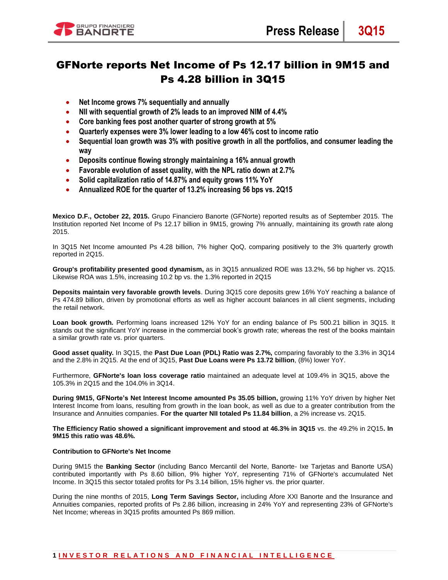

# GFNorte reports Net Income of Ps 12.17 billion in 9M15 and Ps 4.28 billion in 3Q15

- **Net Income grows 7% sequentially and annually**
- **NII with sequential growth of 2% leads to an improved NIM of 4.4%**
- **Core banking fees post another quarter of strong growth at 5%**
- **Quarterly expenses were 3% lower leading to a low 46% cost to income ratio**
- **Sequential loan growth was 3% with positive growth in all the portfolios, and consumer leading the way**
- **Deposits continue flowing strongly maintaining a 16% annual growth**
- **Favorable evolution of asset quality, with the NPL ratio down at 2.7%**
- **Solid capitalization ratio of 14.87% and equity grows 11% YoY**
- **Annualized ROE for the quarter of 13.2% increasing 56 bps vs. 2Q15**

**Mexico D.F., October 22, 2015.** Grupo Financiero Banorte (GFNorte) reported results as of September 2015. The Institution reported Net Income of Ps 12.17 billion in 9M15, growing 7% annually, maintaining its growth rate along 2015.

In 3Q15 Net Income amounted Ps 4.28 billion, 7% higher QoQ, comparing positively to the 3% quarterly growth reported in 2Q15.

**Group's profitability presented good dynamism,** as in 3Q15 annualized ROE was 13.2%, 56 bp higher vs. 2Q15. Likewise ROA was 1.5%, increasing 10.2 bp vs. the 1.3% reported in 2Q15

**Deposits maintain very favorable growth levels**. During 3Q15 core deposits grew 16% YoY reaching a balance of Ps 474.89 billion, driven by promotional efforts as well as higher account balances in all client segments, including the retail network.

**Loan book growth***.* Performing loans increased 12% YoY for an ending balance of Ps 500.21 billion in 3Q15. It stands out the significant YoY increase in the commercial book's growth rate; whereas the rest of the books maintain a similar growth rate vs. prior quarters.

**Good asset quality.** In 3Q15, the **Past Due Loan (PDL) Ratio was 2.7%,** comparing favorably to the 3.3% in 3Q14 and the 2.8% in 2Q15. At the end of 3Q15, **Past Due Loans were Ps 13.72 billion**, (8%) lower YoY.

Furthermore, **GFNorte's loan loss coverage ratio** maintained an adequate level at 109.4% in 3Q15, above the 105.3% in 2Q15 and the 104.0% in 3Q14.

**During 9M15, GFNorte's Net Interest Income amounted Ps 35.05 billion,** growing 11% YoY driven by higher Net Interest Income from loans, resulting from growth in the loan book, as well as due to a greater contribution from the Insurance and Annuities companies. **For the quarter NII totaled Ps 11.84 billion**, a 2% increase vs. 2Q15.

**The Efficiency Ratio showed a significant improvement and stood at 46.3% in 3Q15** vs. the 49.2% in 2Q15**. In 9M15 this ratio was 48.6%.**

# **Contribution to GFNorte's Net Income**

During 9M15 the **Banking Sector** (including Banco Mercantil del Norte, Banorte- Ixe Tarjetas and Banorte USA) contributed importantly with Ps 8.60 billion, 9% higher YoY, representing 71% of GFNorte's accumulated Net Income. In 3Q15 this sector totaled profits for Ps 3.14 billion, 15% higher vs. the prior quarter.

During the nine months of 2015, **Long Term Savings Sector,** including Afore XXI Banorte and the Insurance and Annuities companies, reported profits of Ps 2.86 billion, increasing in 24% YoY and representing 23% of GFNorte's Net Income; whereas in 3Q15 profits amounted Ps 869 million.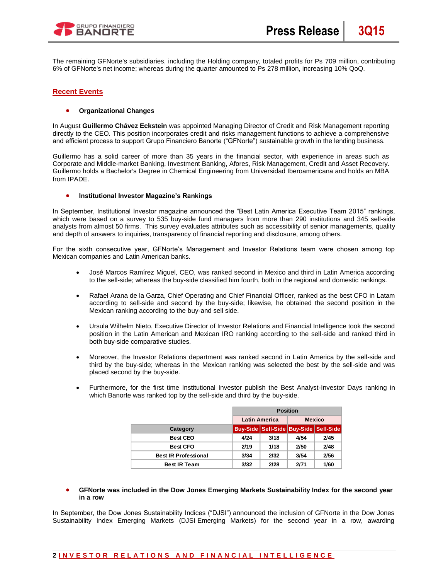

The remaining GFNorte's subsidiaries, including the Holding company, totaled profits for Ps 709 million, contributing 6% of GFNorte's net income; whereas during the quarter amounted to Ps 278 million, increasing 10% QoQ.

# **Recent Events**

## **Organizational Changes**

In August **Guillermo Chávez Eckstein** was appointed Managing Director of Credit and Risk Management reporting directly to the CEO. This position incorporates credit and risks management functions to achieve a comprehensive and efficient process to support Grupo Financiero Banorte ("GFNorte") sustainable growth in the lending business.

Guillermo has a solid career of more than 35 years in the financial sector, with experience in areas such as Corporate and Middle-market Banking, Investment Banking, Afores, Risk Management, Credit and Asset Recovery. Guillermo holds a Bachelor's Degree in Chemical Engineering from Universidad Iberoamericana and holds an MBA from IPADE.

#### **Institutional Investor Magazine's Rankings**

In September, Institutional Investor magazine announced the "Best Latin America Executive Team 2015" rankings, which were based on a survey to 535 buy-side fund managers from more than 290 institutions and 345 sell-side analysts from almost 50 firms. This survey evaluates attributes such as accessibility of senior managements, quality and depth of answers to inquiries, transparency of financial reporting and disclosure, among others.

For the sixth consecutive year, GFNorte's Management and Investor Relations team were chosen among top Mexican companies and Latin American banks.

- José Marcos Ramírez Miguel, CEO, was ranked second in Mexico and third in Latin America according to the sell-side; whereas the buy-side classified him fourth, both in the regional and domestic rankings.
- Rafael Arana de la Garza, Chief Operating and Chief Financial Officer, ranked as the best CFO in Latam according to sell-side and second by the buy-side; likewise, he obtained the second position in the Mexican ranking according to the buy-and sell side.
- Ursula Wilhelm Nieto, Executive Director of Investor Relations and Financial Intelligence took the second position in the Latin American and Mexican IRO ranking according to the sell-side and ranked third in both buy-side comparative studies.
- Moreover, the Investor Relations department was ranked second in Latin America by the sell-side and third by the buy-side; whereas in the Mexican ranking was selected the best by the sell-side and was placed second by the buy-side.
- Furthermore, for the first time Institutional Investor publish the Best Analyst-Investor Days ranking in which Banorte was ranked top by the sell-side and third by the buy-side.

|                             |      | <b>Position</b>      |      |                                       |  |
|-----------------------------|------|----------------------|------|---------------------------------------|--|
|                             |      | <b>Latin America</b> |      | <b>Mexico</b>                         |  |
| Category                    |      |                      |      | Buy-Side Sell-Side Buy-Side Sell-Side |  |
| <b>Best CEO</b>             | 4/24 | 3/18                 | 4/54 | 2/45                                  |  |
| <b>Best CFO</b>             | 2/19 | 1/18                 | 2/50 | 2/48                                  |  |
| <b>Best IR Professional</b> | 3/34 | 2/32                 | 3/54 | 2/56                                  |  |
| <b>Best IR Team</b>         | 3/32 | 2/28                 | 2/71 | 1/60                                  |  |

 **GFNorte was included in the Dow Jones Emerging Markets Sustainability Index for the second year in a row** 

In September, the Dow Jones Sustainability Indices ("DJSI") announced the inclusion of GFNorte in the Dow Jones Sustainability Index Emerging Markets (DJSI Emerging Markets) for the second year in a row, awarding